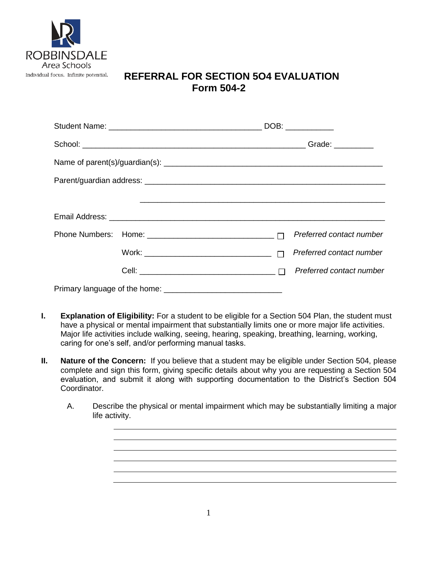

## **REFERRAL FOR SECTION 5O4 EVALUATION Form 504-2**

|  | Preferred contact number |
|--|--------------------------|
|  | Preferred contact number |
|  | Preferred contact number |
|  |                          |

- **I. Explanation of Eligibility:** For a student to be eligible for a Section 504 Plan, the student must have a physical or mental impairment that substantially limits one or more major life activities. Major life activities include walking, seeing, hearing, speaking, breathing, learning, working, caring for one's self, and/or performing manual tasks.
- **II. Nature of the Concern:** If you believe that a student may be eligible under Section 504, please complete and sign this form, giving specific details about why you are requesting a Section 504 evaluation, and submit it along with supporting documentation to the District's Section 504 Coordinator.
	- A. Describe the physical or mental impairment which may be substantially limiting a major life activity.